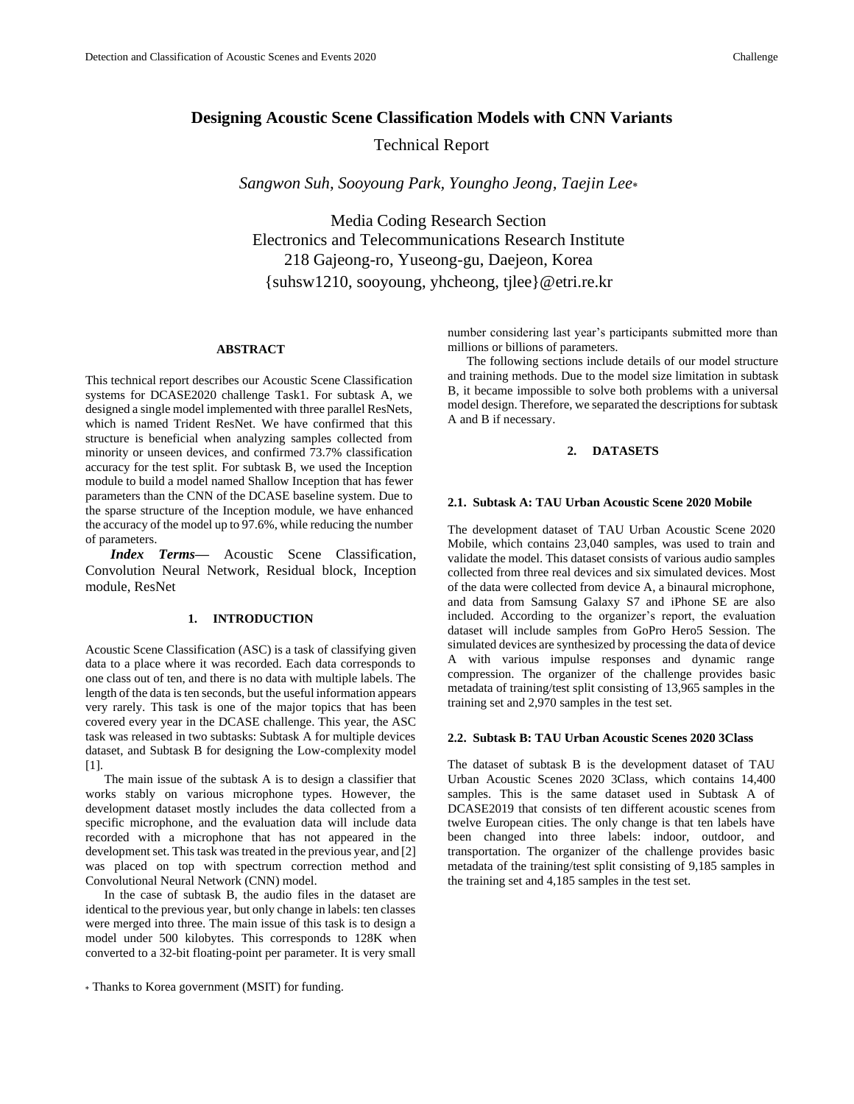# **Designing Acoustic Scene Classification Models with CNN Variants**

Technical Report

*Sangwon Suh, Sooyoung Park, Youngho Jeong, Taejin Lee*

Media Coding Research Section Electronics and Telecommunications Research Institute 218 Gajeong-ro, Yuseong-gu, Daejeon, Korea {suhsw1210, sooyoung, yhcheong, tjlee}@etri.re.kr

### **ABSTRACT**

This technical report describes our Acoustic Scene Classification systems for DCASE2020 challenge Task1. For subtask A, we designed a single model implemented with three parallel ResNets, which is named Trident ResNet. We have confirmed that this structure is beneficial when analyzing samples collected from minority or unseen devices, and confirmed 73.7% classification accuracy for the test split. For subtask B, we used the Inception module to build a model named Shallow Inception that has fewer parameters than the CNN of the DCASE baseline system. Due to the sparse structure of the Inception module, we have enhanced the accuracy of the model up to 97.6%, while reducing the number of parameters.

*Index Terms—* Acoustic Scene Classification, Convolution Neural Network, Residual block, Inception module, ResNet

## **1. INTRODUCTION**

Acoustic Scene Classification (ASC) is a task of classifying given data to a place where it was recorded. Each data corresponds to one class out of ten, and there is no data with multiple labels. The length of the data is ten seconds, but the useful information appears very rarely. This task is one of the major topics that has been covered every year in the DCASE challenge. This year, the ASC task was released in two subtasks: Subtask A for multiple devices dataset, and Subtask B for designing the Low-complexity model [\[1\].](#page-3-0)

The main issue of the subtask A is to design a classifier that works stably on various microphone types. However, the development dataset mostly includes the data collected from a specific microphone, and the evaluation data will include data recorded with a microphone that has not appeared in the development set. This task was treated in the previous year, an[d \[2\]](#page-3-1) was placed on top with spectrum correction method and Convolutional Neural Network (CNN) model.

In the case of subtask B, the audio files in the dataset are identical to the previous year, but only change in labels: ten classes were merged into three. The main issue of this task is to design a model under 500 kilobytes. This corresponds to 128K when converted to a 32-bit floating-point per parameter. It is very small

number considering last year's participants submitted more than millions or billions of parameters.

The following sections include details of our model structure and training methods. Due to the model size limitation in subtask B, it became impossible to solve both problems with a universal model design. Therefore, we separated the descriptions for subtask A and B if necessary.

# **2. DATASETS**

#### **2.1. Subtask A: TAU Urban Acoustic Scene 2020 Mobile**

The development dataset of TAU Urban Acoustic Scene 2020 Mobile, which contains 23,040 samples, was used to train and validate the model. This dataset consists of various audio samples collected from three real devices and six simulated devices. Most of the data were collected from device A, a binaural microphone, and data from Samsung Galaxy S7 and iPhone SE are also included. According to the organizer's report, the evaluation dataset will include samples from GoPro Hero5 Session. The simulated devices are synthesized by processing the data of device A with various impulse responses and dynamic range compression. The organizer of the challenge provides basic metadata of training/test split consisting of 13,965 samples in the training set and 2,970 samples in the test set.

#### **2.2. Subtask B: TAU Urban Acoustic Scenes 2020 3Class**

The dataset of subtask B is the development dataset of TAU Urban Acoustic Scenes 2020 3Class, which contains 14,400 samples. This is the same dataset used in Subtask A of DCASE2019 that consists of ten different acoustic scenes from twelve European cities. The only change is that ten labels have been changed into three labels: indoor, outdoor, and transportation. The organizer of the challenge provides basic metadata of the training/test split consisting of 9,185 samples in the training set and 4,185 samples in the test set.

Thanks to Korea government (MSIT) for funding.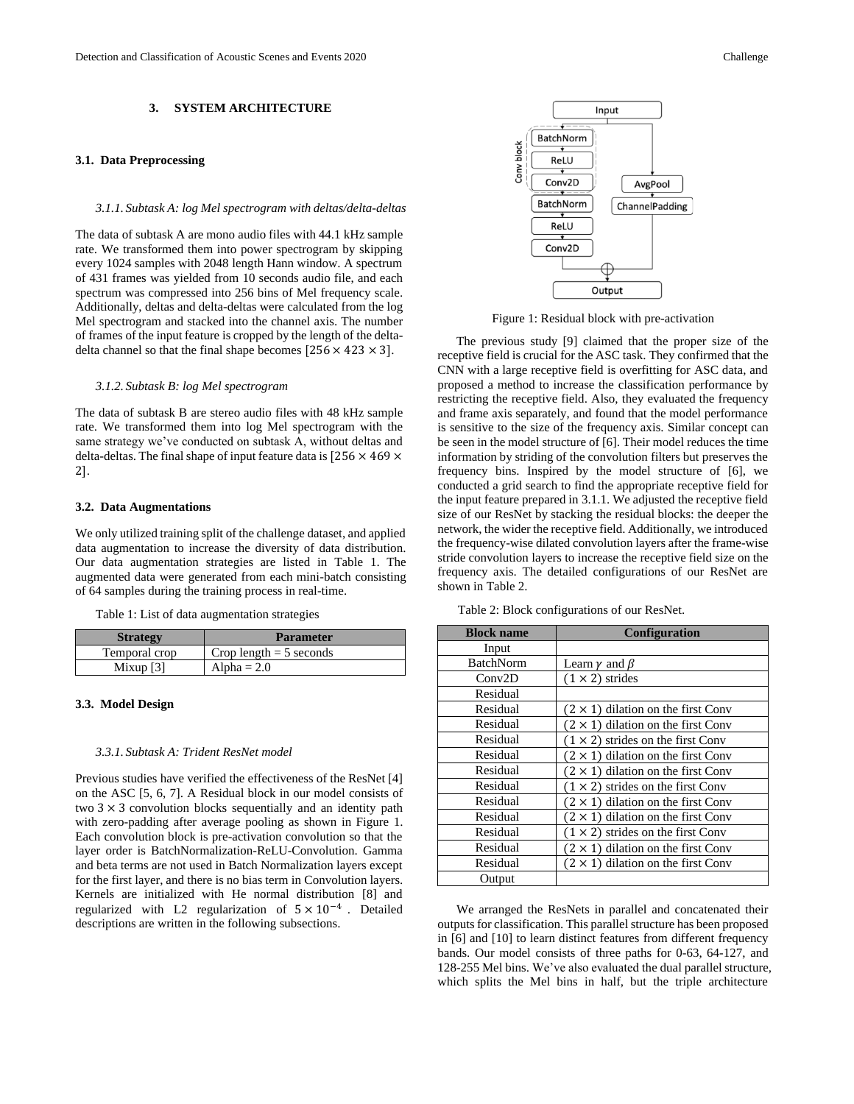# **3. SYSTEM ARCHITECTURE**

### <span id="page-1-2"></span>**3.1. Data Preprocessing**

#### *3.1.1. Subtask A: log Mel spectrogram with deltas/delta-deltas*

The data of subtask A are mono audio files with 44.1 kHz sample rate. We transformed them into power spectrogram by skipping every 1024 samples with 2048 length Hann window. A spectrum of 431 frames was yielded from 10 seconds audio file, and each spectrum was compressed into 256 bins of Mel frequency scale. Additionally, deltas and delta-deltas were calculated from the log Mel spectrogram and stacked into the channel axis. The number of frames of the input feature is cropped by the length of the deltadelta channel so that the final shape becomes  $[256 \times 423 \times 3]$ .

#### *3.1.2. Subtask B: log Mel spectrogram*

The data of subtask B are stereo audio files with 48 kHz sample rate. We transformed them into log Mel spectrogram with the same strategy we've conducted on subtask A, without deltas and delta-deltas. The final shape of input feature data is  $[256 \times 469 \times$ 2].

#### **3.2. Data Augmentations**

We only utilized training split of the challenge dataset, and applied data augmentation to increase the diversity of data distribution. Our data augmentation strategies are listed in [Table 1.](#page-1-0) The augmented data were generated from each mini-batch consisting of 64 samples during the training process in real-time.

<span id="page-1-0"></span>Table 1: List of data augmentation strategies

| <b>Strategy</b> | <b>Parameter</b>          |
|-----------------|---------------------------|
| Temporal crop   | Crop length $=$ 5 seconds |
| Mixup $[3]$     | Alpha $= 2.0$             |

#### **3.3. Model Design**

# *3.3.1. Subtask A: Trident ResNet model*

Previous studies have verified the effectiveness of the ResNet [\[4\]](#page-3-3) on the ASC [5, 6, 7]. A Residual block in our model consists of two  $3 \times 3$  convolution blocks sequentially and an identity path with zero-padding after average pooling as shown in [Figure 1.](#page-1-1)  Each convolution block is pre-activation convolution so that the layer order is BatchNormalization-ReLU-Convolution. Gamma and beta terms are not used in Batch Normalization layers except for the first layer, and there is no bias term in Convolution layers. Kernels are initialized with He normal distribution [\[8\]](#page-3-4) and regularized with L2 regularization of  $5 \times 10^{-4}$ . Detailed descriptions are written in the following subsections.



Figure 1: Residual block with pre-activation

<span id="page-1-1"></span>The previous study [\[9\]](#page-3-5) claimed that the proper size of the receptive field is crucial for the ASC task. They confirmed that the CNN with a large receptive field is overfitting for ASC data, and proposed a method to increase the classification performance by restricting the receptive field. Also, they evaluated the frequency and frame axis separately, and found that the model performance is sensitive to the size of the frequency axis. Similar concept can be seen in the model structure o[f \[6\].](#page-3-6) Their model reduces the time information by striding of the convolution filters but preserves the frequency bins. Inspired by the model structure of [\[6\],](#page-3-6) we conducted a grid search to find the appropriate receptive field for the input feature prepared in [3.1.1.](#page-1-2) We adjusted the receptive field size of our ResNet by stacking the residual blocks: the deeper the network, the wider the receptive field. Additionally, we introduced the frequency-wise dilated convolution layers after the frame-wise stride convolution layers to increase the receptive field size on the frequency axis. The detailed configurations of our ResNet are shown i[n Table 2.](#page-1-3)

<span id="page-1-3"></span>Table 2: Block configurations of our ResNet.

| <b>Block name</b> | <b>Configuration</b>                      |
|-------------------|-------------------------------------------|
| Input             |                                           |
| BatchNorm         | Learn $\nu$ and $\beta$                   |
| Conv2D            | $(1 \times 2)$ strides                    |
| Residual          |                                           |
| Residual          | $(2 \times 1)$ dilation on the first Conv |
| Residual          | $(2 \times 1)$ dilation on the first Conv |
| Residual          | $(1 \times 2)$ strides on the first Conv  |
| Residual          | $(2 \times 1)$ dilation on the first Conv |
| Residual          | $(2 \times 1)$ dilation on the first Conv |
| Residual          | $(1 \times 2)$ strides on the first Conv  |
| Residual          | $(2 \times 1)$ dilation on the first Conv |
| Residual          | $(2 \times 1)$ dilation on the first Conv |
| Residual          | $(1 \times 2)$ strides on the first Conv  |
| Residual          | $(2 \times 1)$ dilation on the first Conv |
| Residual          | $(2 \times 1)$ dilation on the first Conv |
| Output            |                                           |

We arranged the ResNets in parallel and concatenated their outputs for classification. This parallel structure has been proposed in [\[6\]](#page-3-6) and [\[10\]](#page-3-7) to learn distinct features from different frequency bands. Our model consists of three paths for 0-63, 64-127, and 128-255 Mel bins. We've also evaluated the dual parallel structure, which splits the Mel bins in half, but the triple architecture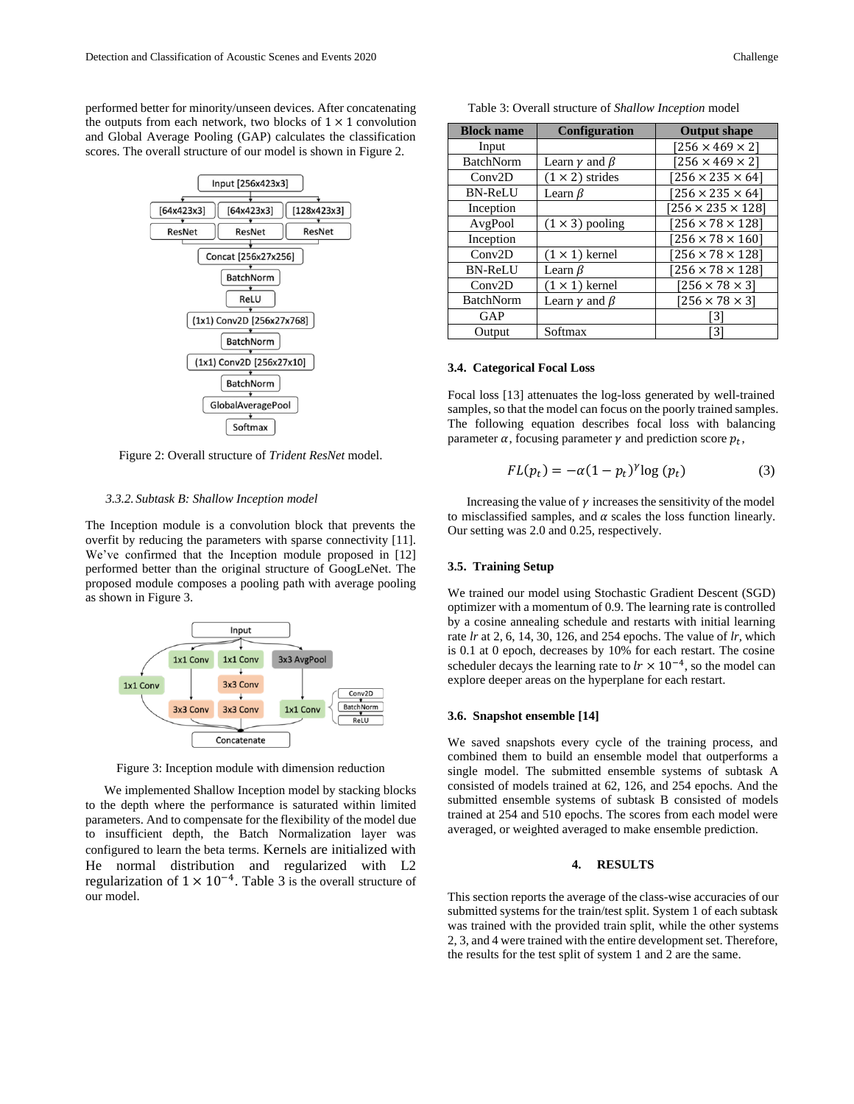performed better for minority/unseen devices. After concatenating the outputs from each network, two blocks of  $1 \times 1$  convolution and Global Average Pooling (GAP) calculates the classification scores. The overall structure of our model is shown i[n Figure 2.](#page-2-0)



<span id="page-2-0"></span>Figure 2: Overall structure of *Trident ResNet* model.

### *3.3.2. Subtask B: Shallow Inception model*

The Inception module is a convolution block that prevents the overfit by reducing the parameters with sparse connectivity [\[11\].](#page-3-8) We've confirmed that the Inception module proposed in [\[12\]](#page-3-9) performed better than the original structure of GoogLeNet. The proposed module composes a pooling path with average pooling as shown in [Figure 3.](#page-2-1)



Figure 3: Inception module with dimension reduction

<span id="page-2-1"></span>We implemented Shallow Inception model by stacking blocks to the depth where the performance is saturated within limited parameters. And to compensate for the flexibility of the model due to insufficient depth, the Batch Normalization layer was configured to learn the beta terms. Kernels are initialized with He normal distribution and regularized with L2 regularization of  $1 \times 10^{-4}$ . [Table 3](#page-2-2) is the overall structure of our model.

| Table 3: Overall structure of Shallow Inception model |  |  |  |  |  |
|-------------------------------------------------------|--|--|--|--|--|
|-------------------------------------------------------|--|--|--|--|--|

<span id="page-2-2"></span>

| <b>Block name</b> | <b>Configuration</b>       | <b>Output shape</b>          |
|-------------------|----------------------------|------------------------------|
| Input             |                            | $[256 \times 469 \times 2]$  |
| <b>BatchNorm</b>  | Learn $\gamma$ and $\beta$ | $[256 \times 469 \times 2]$  |
| Conv2D            | $(1 \times 2)$ strides     | $[256 \times 235 \times 64]$ |
| <b>BN-ReLU</b>    | Learn $\beta$              | $[256 \times 235 \times 64]$ |
| Inception         |                            | $256 \times 235 \times 128$  |
| AvgPool           | $(1 \times 3)$ pooling     | $[256 \times 78 \times 128]$ |
| Inception         |                            | $[256 \times 78 \times 160]$ |
| Conv2D            | $(1 \times 1)$ kernel      | $[256 \times 78 \times 128]$ |
| <b>BN-ReLU</b>    | Learn $\beta$              | $[256 \times 78 \times 128]$ |
| Conv2D            | $(1 \times 1)$ kernel      | $[256 \times 78 \times 3]$   |
| <b>BatchNorm</b>  | Learn $\gamma$ and $\beta$ | $[256 \times 78 \times 3]$   |
| GAP               |                            | 3                            |
| Output            | Softmax                    | 3                            |

### **3.4. Categorical Focal Loss**

Focal loss [\[13\]](#page-3-10) attenuates the log-loss generated by well-trained samples, so that the model can focus on the poorly trained samples. The following equation describes focal loss with balancing parameter  $\alpha$ , focusing parameter  $\gamma$  and prediction score  $p_t$ ,

$$
FL(p_t) = -\alpha (1 - p_t)^{\gamma} \log (p_t)
$$
 (3)

Increasing the value of  $\gamma$  increases the sensitivity of the model to misclassified samples, and  $\alpha$  scales the loss function linearly. Our setting was 2.0 and 0.25, respectively.

## **3.5. Training Setup**

We trained our model using Stochastic Gradient Descent (SGD) optimizer with a momentum of 0.9. The learning rate is controlled by a cosine annealing schedule and restarts with initial learning rate *lr* at 2, 6, 14, 30, 126, and 254 epochs. The value of *lr,* which is 0.1 at 0 epoch, decreases by 10% for each restart. The cosine scheduler decays the learning rate to  $lr \times 10^{-4}$ , so the model can explore deeper areas on the hyperplane for each restart.

#### **3.6. Snapshot ensemble [\[14\]](#page-3-11)**

We saved snapshots every cycle of the training process, and combined them to build an ensemble model that outperforms a single model. The submitted ensemble systems of subtask A consisted of models trained at 62, 126, and 254 epochs. And the submitted ensemble systems of subtask B consisted of models trained at 254 and 510 epochs. The scores from each model were averaged, or weighted averaged to make ensemble prediction.

# **4. RESULTS**

This section reports the average of the class-wise accuracies of our submitted systems for the train/test split. System 1 of each subtask was trained with the provided train split, while the other systems 2, 3, and 4 were trained with the entire development set. Therefore, the results for the test split of system 1 and 2 are the same.